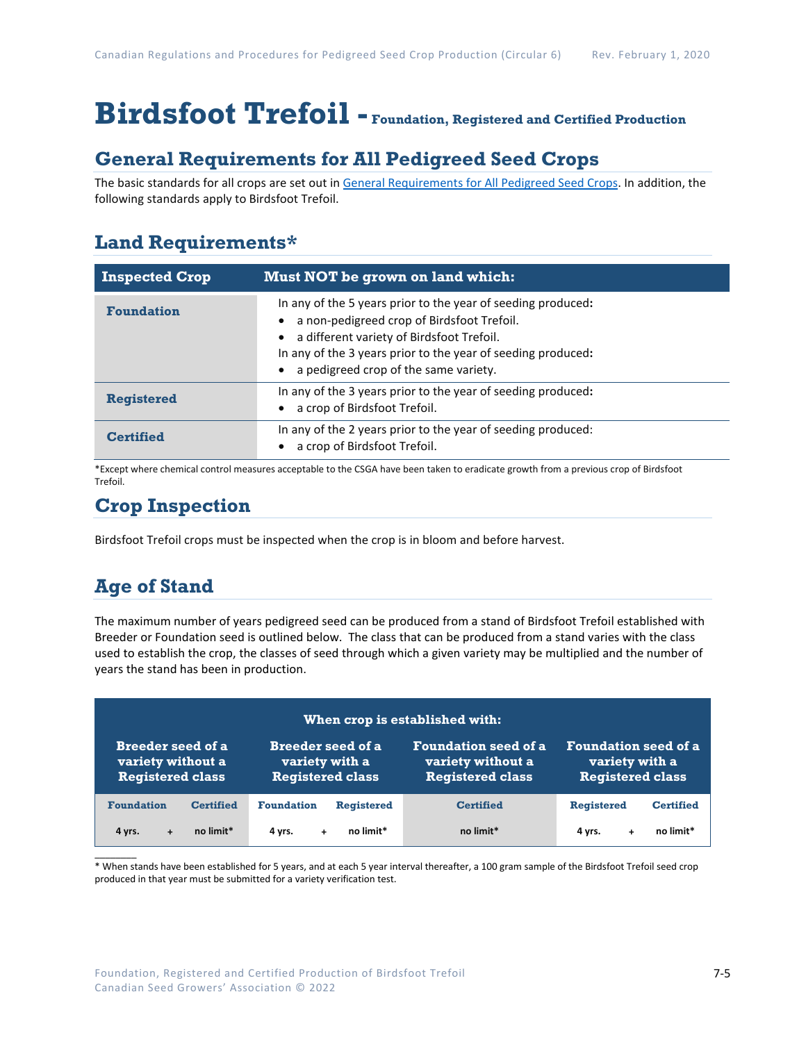# **Birdsfoot Trefoil - Foundation, Registered and Certified Production**

### **General Requirements for All Pedigreed Seed Crops**

The basic standards for all crops are set out i[n General Requirements for All Pedigreed Seed](https://seedgrowers.ca/wp-content/uploads/2020/01/GENERAL-REQUIREMENTS-ALL-CROPS_EN.pdf) Crops. In addition, the following standards apply to Birdsfoot Trefoil.

### **Land Requirements\***

| <b>Inspected Crop</b> | <b>Must NOT be grown on land which:</b>                                                                                                                                                                                                                          |
|-----------------------|------------------------------------------------------------------------------------------------------------------------------------------------------------------------------------------------------------------------------------------------------------------|
| <b>Foundation</b>     | In any of the 5 years prior to the year of seeding produced:<br>a non-pedigreed crop of Birdsfoot Trefoil.<br>a different variety of Birdsfoot Trefoil.<br>In any of the 3 years prior to the year of seeding produced:<br>a pedigreed crop of the same variety. |
| <b>Registered</b>     | In any of the 3 years prior to the year of seeding produced:<br>a crop of Birdsfoot Trefoil.                                                                                                                                                                     |
| Certified             | In any of the 2 years prior to the year of seeding produced:<br>a crop of Birdsfoot Trefoil.                                                                                                                                                                     |

\*Except where chemical control measures acceptable to the CSGA have been taken to eradicate growth from a previous crop of Birdsfoot Trefoil.

### **Crop Inspection**

Birdsfoot Trefoil crops must be inspected when the crop is in bloom and before harvest.

## **Age of Stand**

The maximum number of years pedigreed seed can be produced from a stand of Birdsfoot Trefoil established with Breeder or Foundation seed is outlined below. The class that can be produced from a stand varies with the class used to establish the crop, the classes of seed through which a given variety may be multiplied and the number of years the stand has been in production.

| When crop is established with: |                           |                             |                             |  |  |
|--------------------------------|---------------------------|-----------------------------|-----------------------------|--|--|
| <b>Breeder seed of a</b>       | Breeder seed of a         | <b>Foundation seed of a</b> | <b>Foundation seed of a</b> |  |  |
| variety without a              | variety with a            | variety without a           | variety with a              |  |  |
| <b>Registered class</b>        | <b>Registered class</b>   | <b>Registered class</b>     | <b>Registered class</b>     |  |  |
| <b>Foundation</b>              | <b>Foundation</b>         | <b>Certified</b>            | <b>Registered</b>           |  |  |
| <b>Certified</b>               | <b>Registered</b>         |                             | <b>Certified</b>            |  |  |
| no limit*<br>4 yrs.<br>÷       | no limit*<br>4 vrs.<br>÷. | no limit*                   | no limit*<br>4 vrs.         |  |  |

 $\mathcal{L}$ \* When stands have been established for 5 years, and at each 5 year interval thereafter, a 100 gram sample of the Birdsfoot Trefoil seed crop produced in that year must be submitted for a variety verification test.